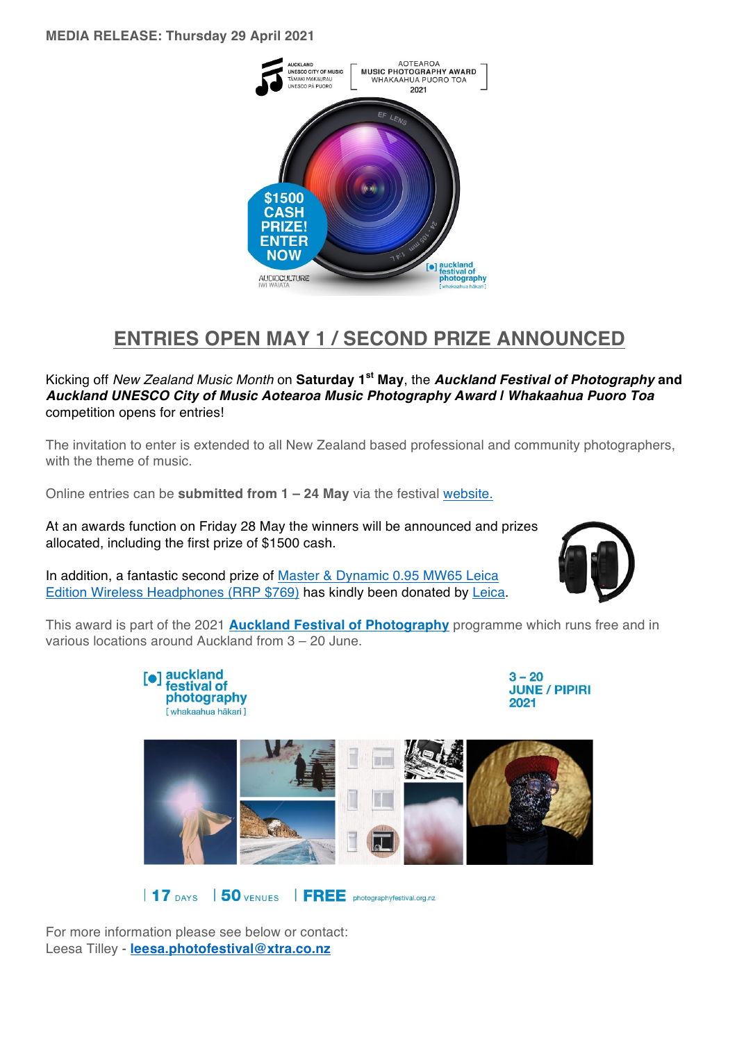

## **ENTRIES OPEN MAY 1 / SECOND PRIZE ANNOUNCED**

Kicking off *New Zealand Music Month* on **Saturday 1st May**, the *Auckland Festival of Photography* **and**  *Auckland UNESCO City of Music Aotearoa Music Photography Award | Whakaahua Puoro Toa* competition opens for entries!

The invitation to enter is extended to all New Zealand based professional and community photographers, with the theme of music.

Online entries can be **submitted from 1 – 24 May** via the festival website.

At an awards function on Friday 28 May the winners will be announced and prizes allocated, including the first prize of \$1500 cash.

In addition, a fantastic second prize of Master & Dynamic 0.95 MW65 Leica Edition Wireless Headphones (RRP \$769) has kindly been donated by Leica.



This award is part of the 2021 **Auckland Festival of Photography** programme which runs free and in various locations around Auckland from 3 – 20 June.



17 DAYS 50 VENUES FREE photographyfestival.org.nz

For more information please see below or contact: Leesa Tilley - **leesa.photofestival@xtra.co.nz**